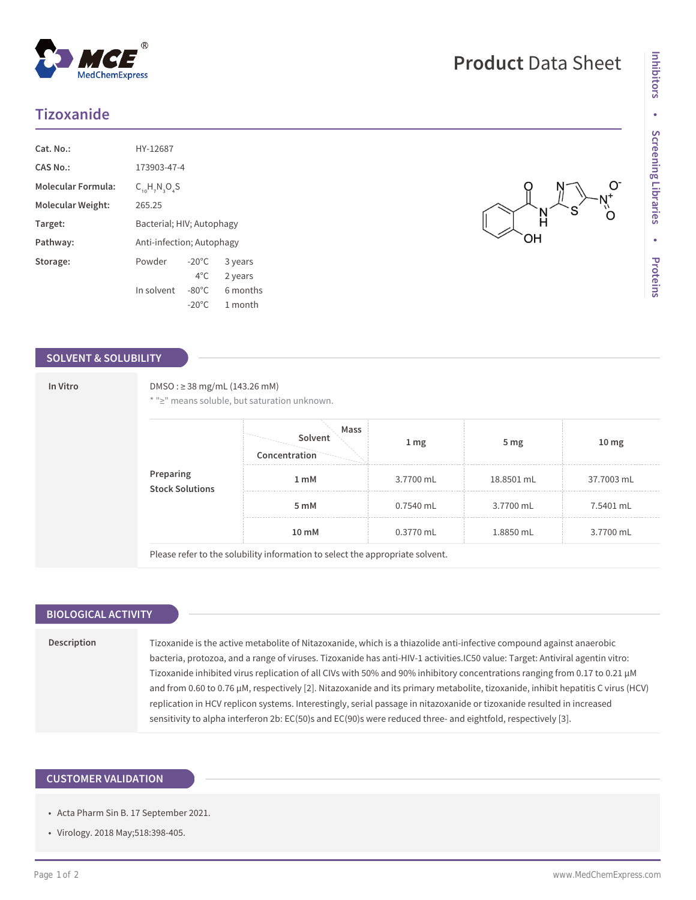## **Tizoxanide**

| Cat. No.                  | HY-12687                  |                 |          |  |
|---------------------------|---------------------------|-----------------|----------|--|
| CAS No.:                  | 173903-47-4               |                 |          |  |
| <b>Molecular Formula:</b> | $C_{10}H_{2}N_{2}O_{2}S$  |                 |          |  |
| Molecular Weight:         | 265.25                    |                 |          |  |
| Target:                   | Bacterial; HIV; Autophagy |                 |          |  |
| Pathway:                  | Anti-infection; Autophagy |                 |          |  |
| Storage:                  | Powder                    | $-20^{\circ}$ C | 3 years  |  |
|                           |                           | $4^{\circ}$ C.  | 2 years  |  |
|                           | In solvent                | $-80^{\circ}$ C | 6 months |  |
|                           |                           | $-20^{\circ}$ C | 1 month  |  |

## **SOLVENT & SOLUBILITY**

### **In Vitro** DMSO : ≥ 38 mg/mL (143.26 mM)

\* "≥" means soluble, but saturation unknown.

| <b>Preparing<br/>Stock Solutions</b> | Mass<br>Solvent<br>Concentration                                                                  | $1 \, \text{mg}$ | 5 <sub>mg</sub> | 10 <sub>mg</sub> |
|--------------------------------------|---------------------------------------------------------------------------------------------------|------------------|-----------------|------------------|
|                                      | 1 mM                                                                                              | 3.7700 mL        | 18.8501 mL      | 37.7003 mL       |
|                                      | 5 mM                                                                                              | 0.7540 mL        | 3.7700 mL       | 7.5401 mL        |
|                                      | 10 mM                                                                                             | 0.3770 mL        | 1.8850 mL       | 3.7700 mL        |
|                                      | . Dha a a' na famhairtean am bhlith a tha famhairtean ha ina h-an bhail am mara mutanais a bheann |                  |                 |                  |

Please refer to the solubility information to select the appropriate solvent.

## **BIOLOGICAL ACTIVITY**

**Description** Tizoxanide is the active metabolite of Nitazoxanide, which is a thiazolide anti-infective compound against anaerobic bacteria, protozoa, and a range of viruses. Tizoxanide has anti-HIV-1 activities.IC50 value: Target: Antiviral agentin vitro: Tizoxanide inhibited virus replication of all CIVs with 50% and 90% inhibitory concentrations ranging from 0.17 to 0.21 μM and from 0.60 to 0.76 μM, respectively [2]. Nitazoxanide and its primary metabolite, tizoxanide, inhibit hepatitis C virus (HCV) replication in HCV replicon systems. Interestingly, serial passage in nitazoxanide or tizoxanide resulted in increased sensitivity to alpha interferon 2b: EC(50)s and EC(90)s were reduced three- and eightfold, respectively [3].

## **CUSTOMER VALIDATION**

- Acta Pharm Sin B. 17 September 2021.
- Virology. 2018 May;518:398-405.

# **Product** Data Sheet